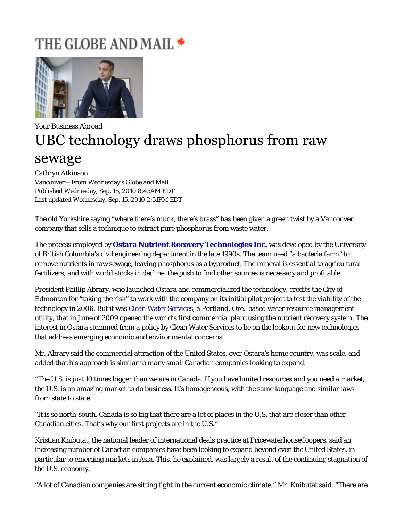## THE GLOBE AND MAIL <del>\*</del>



## Your Business Abroad UBC technology draws phosphorus from raw sewage

Cathryn Atkinson Vancouver— From Wednesday's Globe and Mail Published Wednesday, Sep. 15, 2010 8:45AM EDT Last updated Wednesday, Sep. 15, 2010 2:51PM EDT

The old Yorkshire saying "where there's muck, there's brass" has been given a green twist by a Vancouver company that sells a technique to extract pure phosphorus from waste water.

The process employed by **Ostara Nutrient Recovery Technologies Inc.** was developed by the University of British Columbia's civil engineering department in the late 1990s. The team used "a bacteria farm" to remove nutrients in raw sewage, leaving phosphorus as a byproduct. The mineral is essential to agricultural fertilizers, and with world stocks in decline, the push to find other sources is necessary and profitable.

President Phillip Abrary, who launched Ostara and commercialized the technology, credits the City of Edmonton for "taking the risk" to work with the company on its initial pilot project to test the viability of the technology in 2006. But it was Clean Water Services, a Portland, Ore.-based water resource management utility, that in June of 2009 opened the world's first commercial plant using the nutrient recovery system. The interest in Ostara stemmed from a policy by Clean Water Services to be on the lookout for new technologies that address emerging economic and environmental concerns.

Mr. Abrary said the commercial attraction of the United States, over Ostara's home country, was scale, and added that his approach is similar to many small Canadian companies looking to expand.

"The U.S. is just 10 times bigger than we are in Canada. If you have limited resources and you need a market, the U.S. is an amazing market to do business. It's homogeneous, with the same language and similar laws from state to state.

"It is so north-south. Canada is so big that there are a lot of places in the U.S. that are closer than other Canadian cities. That's why our first projects are in the U.S."

Kristian Knibutat, the national leader of international deals practice at PricewaterhouseCoopers, said an increasing number of Canadian companies have been looking to expand beyond even the United States, in particular to emerging markets in Asia. This, he explained, was largely a result of the continuing stagnation of the U.S. economy.

"A lot of Canadian companies are sitting tight in the current economic climate," Mr. Knibutat said. "There are